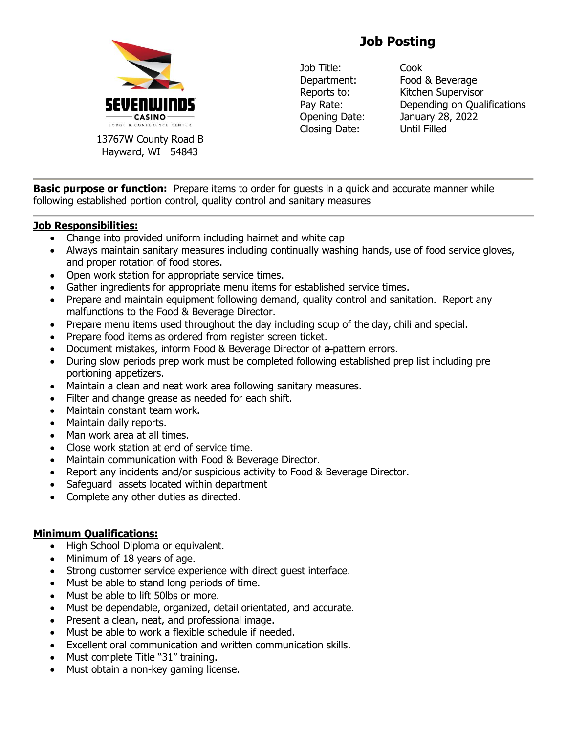

13767W County Road B Hayward, WI 54843

## **Job Posting**

Job Title: Cook Closing Date: Until Filled

Department: Food & Beverage Reports to: Kitchen Supervisor Pay Rate: Depending on Qualifications Opening Date: January 28, 2022

**Basic purpose or function:** Prepare items to order for quests in a quick and accurate manner while following established portion control, quality control and sanitary measures

## **Job Responsibilities:**

- Change into provided uniform including hairnet and white cap
- Always maintain sanitary measures including continually washing hands, use of food service gloves, and proper rotation of food stores.
- Open work station for appropriate service times.
- Gather ingredients for appropriate menu items for established service times.
- Prepare and maintain equipment following demand, quality control and sanitation. Report any malfunctions to the Food & Beverage Director.
- Prepare menu items used throughout the day including soup of the day, chili and special.
- Prepare food items as ordered from register screen ticket.
- Document mistakes, inform Food & Beverage Director of a pattern errors.
- During slow periods prep work must be completed following established prep list including pre portioning appetizers.
- Maintain a clean and neat work area following sanitary measures.
- Filter and change grease as needed for each shift.
- Maintain constant team work.
- Maintain daily reports.
- Man work area at all times.
- Close work station at end of service time.
- Maintain communication with Food & Beverage Director.
- Report any incidents and/or suspicious activity to Food & Beverage Director.
- Safeguard assets located within department
- Complete any other duties as directed.

## **Minimum Qualifications:**

- High School Diploma or equivalent.
- Minimum of 18 years of age.
- Strong customer service experience with direct quest interface.
- Must be able to stand long periods of time.
- Must be able to lift 50lbs or more.
- Must be dependable, organized, detail orientated, and accurate.
- Present a clean, neat, and professional image.
- Must be able to work a flexible schedule if needed.
- Excellent oral communication and written communication skills.
- Must complete Title "31" training.
- Must obtain a non-key gaming license.